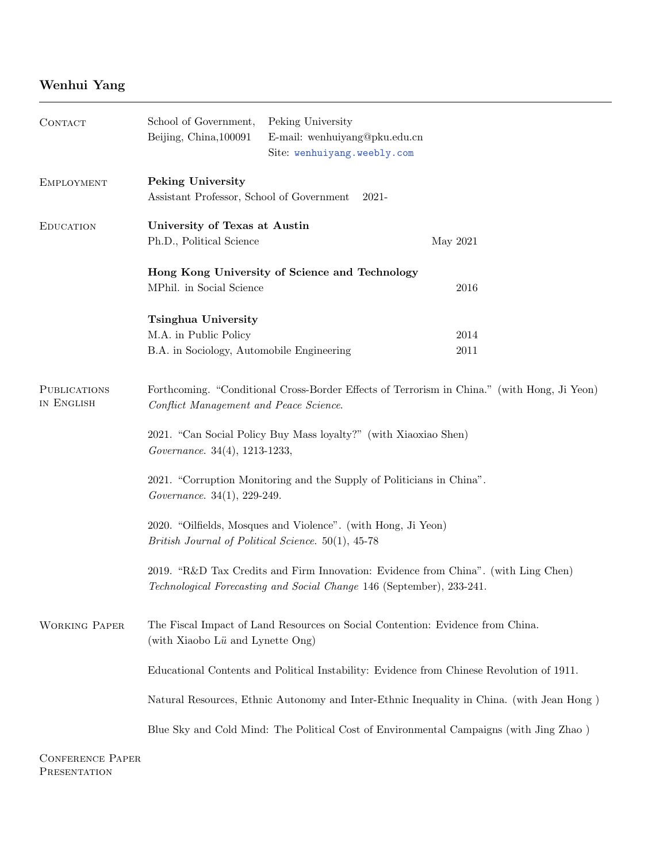## Wenhui Yang

| CONTACT                           | School of Government,<br>Peking University                                                                                                                  |                               |          |  |  |
|-----------------------------------|-------------------------------------------------------------------------------------------------------------------------------------------------------------|-------------------------------|----------|--|--|
|                                   | Beijing, China, 100091                                                                                                                                      | E-mail: wenhuiyang@pku.edu.cn |          |  |  |
|                                   |                                                                                                                                                             | Site: wenhuiyang.weebly.com   |          |  |  |
| <b>EMPLOYMENT</b>                 | Peking University                                                                                                                                           |                               |          |  |  |
|                                   | Assistant Professor, School of Government<br>2021-                                                                                                          |                               |          |  |  |
| <b>EDUCATION</b>                  | University of Texas at Austin                                                                                                                               |                               |          |  |  |
|                                   | Ph.D., Political Science                                                                                                                                    |                               | May 2021 |  |  |
|                                   | Hong Kong University of Science and Technology                                                                                                              |                               |          |  |  |
|                                   | MPhil. in Social Science                                                                                                                                    |                               | 2016     |  |  |
|                                   | <b>Tsinghua University</b>                                                                                                                                  |                               |          |  |  |
|                                   | M.A. in Public Policy                                                                                                                                       |                               | 2014     |  |  |
|                                   | B.A. in Sociology, Automobile Engineering                                                                                                                   |                               | 2011     |  |  |
| <b>PUBLICATIONS</b><br>IN ENGLISH | Forthcoming. "Conditional Cross-Border Effects of Terrorism in China." (with Hong, Ji Yeon)<br>Conflict Management and Peace Science.                       |                               |          |  |  |
|                                   | 2021. "Can Social Policy Buy Mass loyalty?" (with Xiaoxiao Shen)<br>Governance. 34(4), 1213-1233,                                                           |                               |          |  |  |
|                                   | 2021. "Corruption Monitoring and the Supply of Politicians in China".<br>Governance. 34(1), 229-249.                                                        |                               |          |  |  |
|                                   | 2020. "Oilfields, Mosques and Violence". (with Hong, Ji Yeon)<br>British Journal of Political Science. 50(1), 45-78                                         |                               |          |  |  |
|                                   | 2019. "R&D Tax Credits and Firm Innovation: Evidence from China". (with Ling Chen)<br>Technological Forecasting and Social Change 146 (September), 233-241. |                               |          |  |  |
| <b>WORKING PAPER</b>              | The Fiscal Impact of Land Resources on Social Contention: Evidence from China.<br>(with Xiaobo Lü and Lynette Ong)                                          |                               |          |  |  |
|                                   | Educational Contents and Political Instability: Evidence from Chinese Revolution of 1911.                                                                   |                               |          |  |  |
|                                   | Natural Resources, Ethnic Autonomy and Inter-Ethnic Inequality in China. (with Jean Hong)                                                                   |                               |          |  |  |
|                                   | Blue Sky and Cold Mind: The Political Cost of Environmental Campaigns (with Jing Zhao)                                                                      |                               |          |  |  |
| CONFERENCE PARED                  |                                                                                                                                                             |                               |          |  |  |

Conference Paper PRESENTATION